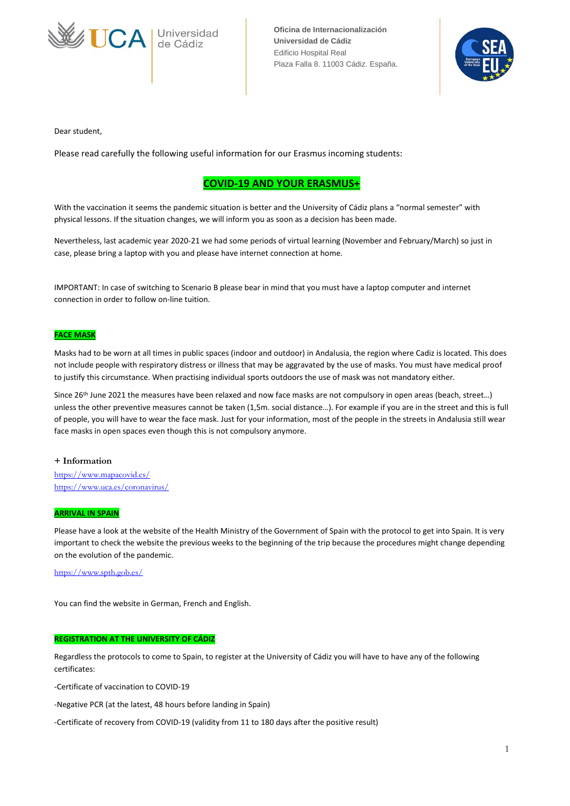



Dear student,

Please read carefully the following useful information for our Erasmus incoming students:

## **COVID-19 AND YOUR ERASMUS+**

With the vaccination it seems the pandemic situation is better and the University of Cádiz plans a "normal semester" with physical lessons. If the situation changes, we will inform you as soon as a decision has been made.

Nevertheless, last academic year 2020-21 we had some periods of virtual learning (November and February/March) so just in case, please bring a laptop with you and please have internet connection at home.

IMPORTANT: In case of switching to Scenario B please bear in mind that you must have a laptop computer and internet connection in order to follow on-line tuition.

#### **FACE MASK**

Masks had to be worn at all times in public spaces (indoor and outdoor) in Andalusia, the region where Cadiz is located. This does not include people with respiratory distress or illness that may be aggravated by the use of masks. You must have medical proof to justify this circumstance. When practising individual sports outdoors the use of mask was not mandatory either.

Since 26<sup>th</sup> June 2021 the measures have been relaxed and now face masks are not compulsory in open areas (beach, street...) unless the other preventive measures cannot be taken (1,5m. social distance…). For example if you are in the street and this is full of people, you will have to wear the face mask. Just for your information, most of the people in the streets in Andalusia still wear face masks in open spaces even though this is not compulsory anymore.

#### **+ Information**

<https://www.mapacovid.es/> <https://www.uca.es/coronavirus/>

#### **ARRIVAL IN SPAIN**

Please have a look at the website of the Health Ministry of the Government of Spain with the protocol to get into Spain. It is very important to check the website the previous weeks to the beginning of the trip because the procedures might change depending on the evolution of the pandemic.

#### <https://www.spth.gob.es/>

You can find the website in German, French and English.

#### **REGISTRATION AT THE UNIVERSITY OF CÁDIZ**

Regardless the protocols to come to Spain, to register at the University of Cádiz you will have to have any of the following certificates:

-Certificate of vaccination to COVID-19

-Negative PCR (at the latest, 48 hours before landing in Spain)

-Certificate of recovery from COVID-19 (validity from 11 to 180 days after the positive result)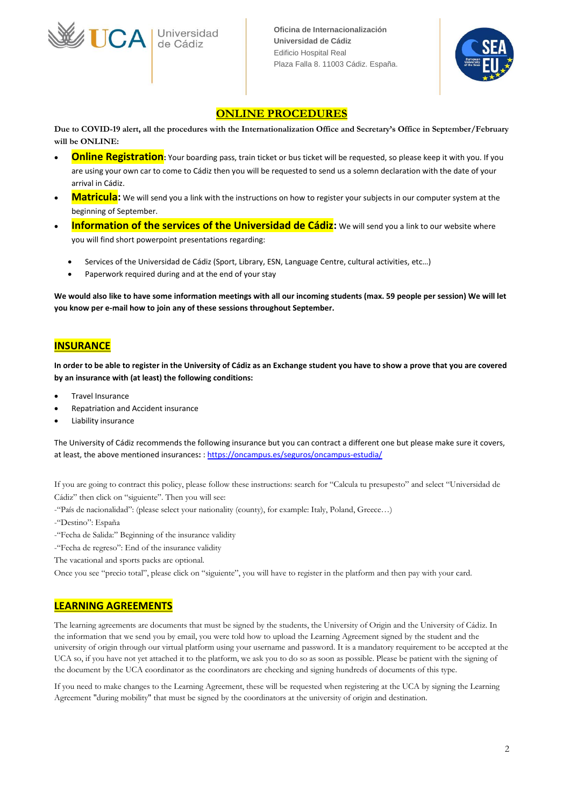

# **ONLINE PROCEDURES**

**Due to COVID-19 alert, all the procedures with the Internationalization Office and Secretary's Office in September/February will be ONLINE:**

- **Online Registration**: Your boarding pass, train ticket or bus ticket will be requested, so please keep it with you. If you are using your own car to come to Cádiz then you will be requested to send us a solemn declaration with the date of your arrival in Cádiz.
- **Matricula:** We will send you a link with the instructions on how to register your subjects in our computer system at the beginning of September.
- **Information of the services of the Universidad de Cádiz:** We will send you a link to our website where you will find short powerpoint presentations regarding:
	- Services of the Universidad de Cádiz (Sport, Library, ESN, Language Centre, cultural activities, etc…)
	- Paperwork required during and at the end of your stay

**We would also like to have some information meetings with all our incoming students (max. 59 people per session) We will let you know per e-mail how to join any of these sessions throughout September.**

## **INSURANCE**

**In order to be able to register in the University of Cádiz as an Exchange student you have to show a prove that you are covered by an insurance with (at least) the following conditions:**

- Travel Insurance
- Repatriation and Accident insurance
- Liability insurance

The University of Cádiz recommends the following insurance but you can contract a different one but please make sure it covers, at least, the above mentioned insurances**:** [: https://oncampus.es/seguros/oncampus-estudia/](https://oncampus.es/seguros/oncampus-estudia/)

If you are going to contract this policy, please follow these instructions: search for "Calcula tu presupesto" and select "Universidad de Cádiz" then click on "siguiente". Then you will see:

- -"País de nacionalidad": (please select your nationality (county), for example: Italy, Poland, Greece…)
- -"Destino": España
- -"Fecha de Salida:" Beginning of the insurance validity
- -"Fecha de regreso": End of the insurance validity
- The vacational and sports packs are optional.

Once you see "precio total", please click on "siguiente", you will have to register in the platform and then pay with your card.

## **LEARNING AGREEMENTS**

The learning agreements are documents that must be signed by the students, the University of Origin and the University of Cádiz. In the information that we send you by email, you were told how to upload the Learning Agreement signed by the student and the university of origin through our virtual platform using your username and password. It is a mandatory requirement to be accepted at the UCA so, if you have not yet attached it to the platform, we ask you to do so as soon as possible. Please be patient with the signing of the document by the UCA coordinator as the coordinators are checking and signing hundreds of documents of this type.

If you need to make changes to the Learning Agreement, these will be requested when registering at the UCA by signing the Learning Agreement "during mobility" that must be signed by the coordinators at the university of origin and destination.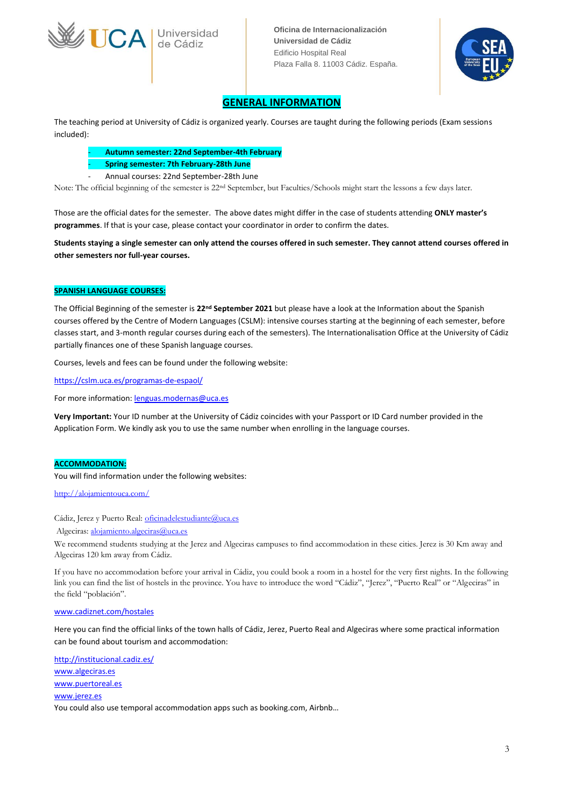

JCA de Cádiz

**Oficina de Internacionalización Universidad de Cádiz** Edificio Hospital Real Plaza Falla 8. 11003 Cádiz. España.



## **GENERAL INFORMATION**

The teaching period at University of Cádiz is organized yearly. Courses are taught during the following periods (Exam sessions included):

- **Autumn semester: 22nd September-4th February**
- **Spring semester: 7th February-28th June**
- Annual courses: 22nd September-28th June

Note: The official beginning of the semester is 22nd September, but Faculties/Schools might start the lessons a few days later.

Those are the official dates for the semester. The above dates might differ in the case of students attending **ONLY master's programmes**. If that is your case, please contact your coordinator in order to confirm the dates.

**Students staying a single semester can only attend the courses offered in such semester. They cannot attend courses offered in other semesters nor full-year courses.**

### **SPANISH LANGUAGE COURSES:**

The Official Beginning of the semester is **22nd September 2021** but please have a look at the Information about the Spanish courses offered by the Centre of Modern Languages (CSLM): intensive courses starting at the beginning of each semester, before classes start, and 3-month regular courses during each of the semesters). The Internationalisation Office at the University of Cádiz partially finances one of these Spanish language courses.

Courses, levels and fees can be found under the following website:

<https://cslm.uca.es/programas-de-espaol/>

For more information[: lenguas.modernas@uca.es](mailto:lenguas.modernas@uca.es)

**Very Important:** Your ID number at the University of Cádiz coincides with your Passport or ID Card number provided in the Application Form. We kindly ask you to use the same number when enrolling in the language courses.

#### **ACCOMMODATION:**

You will find information under the following websites:

http://alojamientouca.com/

Cádiz, Jerez y Puerto Real: [oficinadelestudiante@uca.es](mailto:oficinadelestudiante@uca.es)

Algeciras: [alojamiento.algeciras@uca.es](mailto:alojamiento.algeciras@uca.es)

We recommend students studying at the Jerez and Algeciras campuses to find accommodation in these cities. Jerez is 30 Km away and Algeciras 120 km away from Cádiz.

If you have no accommodation before your arrival in Cádiz, you could book a room in a hostel for the very first nights. In the following link you can find the list of hostels in the province. You have to introduce the word "Cádiz", "Jerez", "Puerto Real" or "Algeciras" in the field "población".

#### [www.cadiznet.com/hostales](http://www.cadiznet.com/hostales)

Here you can find the official links of the town halls of Cádiz, Jerez, Puerto Real and Algeciras where some practical information can be found about tourism and accommodation:

<http://institucional.cadiz.es/> [www.algeciras.es](http://www.algeciras.es/) [www.puertoreal.es](http://www.puertoreal.es/) [www.jerez.es](http://www.jerez.es/) You could also use temporal accommodation apps such as booking.com, Airbnb…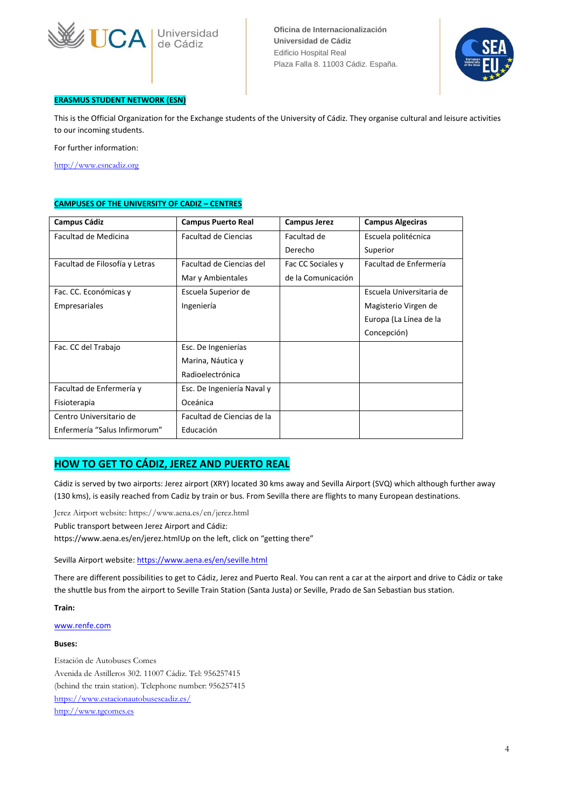



### **ERASMUS STUDENT NETWORK (ESN)**

This is the Official Organization for the Exchange students of the University of Cádiz. They organise cultural and leisure activities to our incoming students.

For further information:

[http://www.esncadiz.org](http://www.esncadiz.org/)

### **CAMPUSES OF THE UNIVERSITY OF CADIZ – CENTRES**

| <b>Campus Cádiz</b>            | <b>Campus Puerto Real</b>  | <b>Campus Jerez</b> | <b>Campus Algeciras</b>  |
|--------------------------------|----------------------------|---------------------|--------------------------|
| Facultad de Medicina           | Facultad de Ciencias       | Facultad de         | Escuela politécnica      |
|                                |                            | Derecho             | Superior                 |
| Facultad de Filosofía y Letras | Facultad de Ciencias del   | Fac CC Sociales y   | Facultad de Enfermería   |
|                                | Mar y Ambientales          | de la Comunicación  |                          |
| Fac. CC. Económicas y          | Escuela Superior de        |                     | Escuela Universitaria de |
| Empresariales                  | Ingeniería                 |                     | Magisterio Virgen de     |
|                                |                            |                     | Europa (La Línea de la   |
|                                |                            |                     | Concepción)              |
| Fac. CC del Trabajo            | Esc. De Ingenierías        |                     |                          |
|                                | Marina, Náutica y          |                     |                          |
|                                | Radioelectrónica           |                     |                          |
| Facultad de Enfermería y       | Esc. De Ingeniería Naval y |                     |                          |
| Fisioterapia                   | Oceánica                   |                     |                          |
| Centro Universitario de        | Facultad de Ciencias de la |                     |                          |
| Enfermería "Salus Infirmorum"  | Educación                  |                     |                          |

### **HOW TO GET TO CÁDIZ, JEREZ AND PUERTO REAL**

Cádiz is served by two airports: Jerez airport (XRY) located 30 kms away and Sevilla Airport (SVQ) which although further away (130 kms), is easily reached from Cadiz by train or bus. From Sevilla there are flights to many European destinations.

Jerez Airport website: https://www.aena.es/en/jerez.html

Public transport between Jerez Airport and Cádiz:

https://www.aena.es/en/jerez.htmlUp on the left, click on "getting there"

Sevilla Airport website:<https://www.aena.es/en/seville.html>

There are different possibilities to get to Cádiz, Jerez and Puerto Real. You can rent a car at the airport and drive to Cádiz or take the shuttle bus from the airport to Seville Train Station (Santa Justa) or Seville, Prado de San Sebastian bus station.

**Train:**

[www.renfe.com](http://www.renfe.com/)

#### **Buses:**

Estación de Autobuses Comes Avenida de Astilleros 302. 11007 Cádiz. Tel: 956257415 (behind the train station). Telephone number: 956257415 <https://www.estacionautobusescadiz.es/> [http://www.tgcomes.es](http://www.tgcomes.es/)